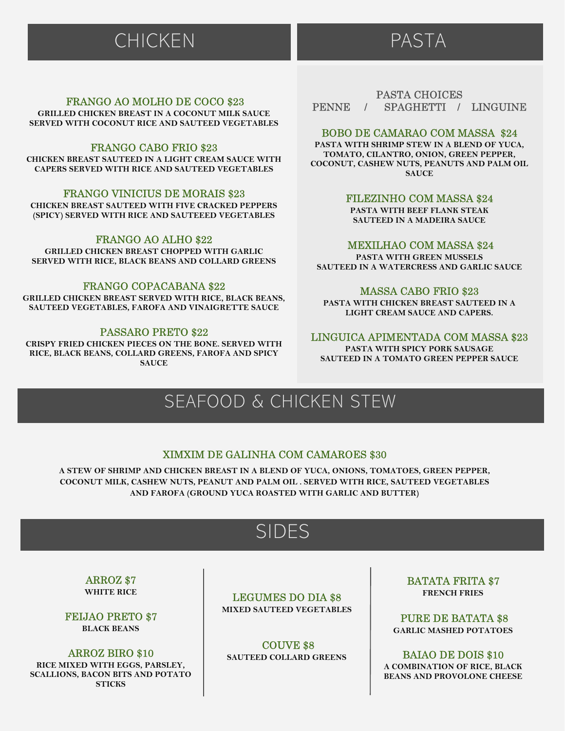# CHICKEN PASTA

# FRANGO AO MOLHO DE COCO \$23

GRILLED CHICKEN BREAST IN A COCONUT MILK SAUCE SERVED WITH COCONUT RICE AND SAUTEED VEGETABLES

# FRANGO CABO FRIO \$23

CHICKEN BREAST SAUTEED IN A LIGHT CREAM SAUCE WITH CAPERS SERVED WITH RICE AND SAUTEED VEGETABLES

# FRANGO VINICIUS DE MORAIS \$23

CHICKEN BREAST SAUTEED WITH FIVE CRACKED PEPPERS (SPICY) SERVED WITH RICE AND SAUTEEED VEGETABLES

# FRANGO AO ALHO \$22

GRILLED CHICKEN BREAST CHOPPED WITH GARLIC SERVED WITH RICE, BLACK BEANS AND COLLARD GREENS

#### FRANGO COPACABANA \$22

GRILLED CHICKEN BREAST SERVED WITH RICE, BLACK BEANS, SAUTEED VEGETABLES, FAROFA AND VINAIGRETTE SAUCE

## PASSARO PRETO \$22

CRISPY FRIED CHICKEN PIECES ON THE BONE. SERVED WITH RICE, BLACK BEANS, COLLARD GREENS, FAROFA AND SPICY **SAUCE** 

# PASTA CHOICES PENNE / SPAGHETTI / LINGUINE

## BOBO DE CAMARAO COM MASSA \$24

PASTA WITH SHRIMP STEW IN A BLEND OF YUCA, TOMATO, CILANTRO, ONION, GREEN PEPPER, COCONUT, CASHEW NUTS, PEANUTS AND PALM OIL **SAUCE** 

# FILEZINHO COM MASSA \$24

PASTA WITH BEEF FLANK STEAK SAUTEED IN A MADEIRA SAUCE

#### MEXILHAO COM MASSA \$24

PASTA WITH GREEN MUSSELS SAUTEED IN A WATERCRESS AND GARLIC SAUCE

#### MASSA CABO FRIO \$23

PASTA WITH CHICKEN BREAST SAUTEED IN A LIGHT CREAM SAUCE AND CAPERS.

## LINGUICA APIMENTADA COM MASSA \$23

PASTA WITH SPICY PORK SAUSAGE SAUTEED IN A TOMATO GREEN PEPPER SAUCE

# SEAFOOD & CHICKEN STEW

# XIMXIM DE GALINHA COM CAMAROES \$30

A STEW OF SHRIMP AND CHICKEN BREAST IN A BLEND OF YUCA, ONIONS, TOMATOES, GREEN PEPPER, COCONUT MILK, CASHEW NUTS, PEANUT AND PALM OIL . SERVED WITH RICE, SAUTEED VEGETABLES AND FAROFA (GROUND YUCA ROASTED WITH GARLIC AND BUTTER)

# SIDES

#### ARROZ \$7 WHITE RICE

FEIJAO PRETO \$7 BLACK BEANS

## ARROZ BIRO \$10

RICE MIXED WITH EGGS, PARSLEY, SCALLIONS, BACON BITS AND POTATO **STICKS** 

LEGUMES DO DIA \$8 MIXED SAUTEED VEGETABLES

COUVE \$8 SAUTEED COLLARD GREENS BATATA FRITA \$7 FRENCH FRIES

PURE DE BATATA \$8 GARLIC MASHED POTATOES

BAIAO DE DOIS \$10 A COMBINATION OF RICE, BLACK BEANS AND PROVOLONE CHEESE